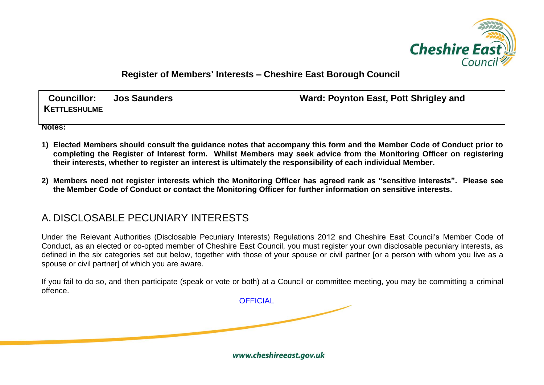

**Register of Members' Interests – Cheshire East Borough Council**

**KETTLESHULME**

**Councillor: Jos Saunders Ward: Poynton East, Pott Shrigley and** 

**Notes:**

- **1) Elected Members should consult the guidance notes that accompany this form and the Member Code of Conduct prior to completing the Register of Interest form. Whilst Members may seek advice from the Monitoring Officer on registering their interests, whether to register an interest is ultimately the responsibility of each individual Member.**
- **2) Members need not register interests which the Monitoring Officer has agreed rank as "sensitive interests". Please see the Member Code of Conduct or contact the Monitoring Officer for further information on sensitive interests.**

## A. DISCLOSABLE PECUNIARY INTERESTS

Under the Relevant Authorities (Disclosable Pecuniary Interests) Regulations 2012 and Cheshire East Council's Member Code of Conduct, as an elected or co-opted member of Cheshire East Council, you must register your own disclosable pecuniary interests, as defined in the six categories set out below, together with those of your spouse or civil partner for a person with whom you live as a spouse or civil partner] of which you are aware.

If you fail to do so, and then participate (speak or vote or both) at a Council or committee meeting, you may be committing a criminal offence.

**OFFICIAL** 

www.cheshireeast.gov.uk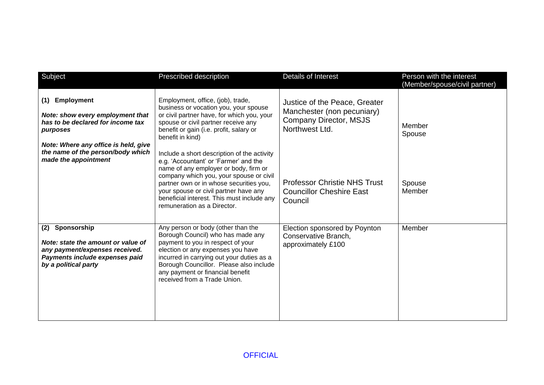| Subject                                                                                                                                              | Prescribed description                                                                                                                                                                                                                                                                                                                    | Details of Interest                                                                                            | Person with the interest<br>(Member/spouse/civil partner) |
|------------------------------------------------------------------------------------------------------------------------------------------------------|-------------------------------------------------------------------------------------------------------------------------------------------------------------------------------------------------------------------------------------------------------------------------------------------------------------------------------------------|----------------------------------------------------------------------------------------------------------------|-----------------------------------------------------------|
| Employment<br>(1)<br>Note: show every employment that<br>has to be declared for income tax<br>purposes<br>Note: Where any office is held, give       | Employment, office, (job), trade,<br>business or vocation you, your spouse<br>or civil partner have, for which you, your<br>spouse or civil partner receive any<br>benefit or gain (i.e. profit, salary or<br>benefit in kind)                                                                                                            | Justice of the Peace, Greater<br>Manchester (non pecuniary)<br><b>Company Director, MSJS</b><br>Northwest Ltd. | Member<br>Spouse                                          |
| the name of the person/body which<br>made the appointment                                                                                            | Include a short description of the activity<br>e.g. 'Accountant' or 'Farmer' and the<br>name of any employer or body, firm or<br>company which you, your spouse or civil<br>partner own or in whose securities you,<br>your spouse or civil partner have any<br>beneficial interest. This must include any<br>remuneration as a Director. | <b>Professor Christie NHS Trust</b><br><b>Councillor Cheshire East</b><br>Council                              | Spouse<br>Member                                          |
| Sponsorship<br>(2)<br>Note: state the amount or value of<br>any payment/expenses received.<br>Payments include expenses paid<br>by a political party | Any person or body (other than the<br>Borough Council) who has made any<br>payment to you in respect of your<br>election or any expenses you have<br>incurred in carrying out your duties as a<br>Borough Councillor. Please also include<br>any payment or financial benefit<br>received from a Trade Union.                             | Election sponsored by Poynton<br>Conservative Branch,<br>approximately £100                                    | Member                                                    |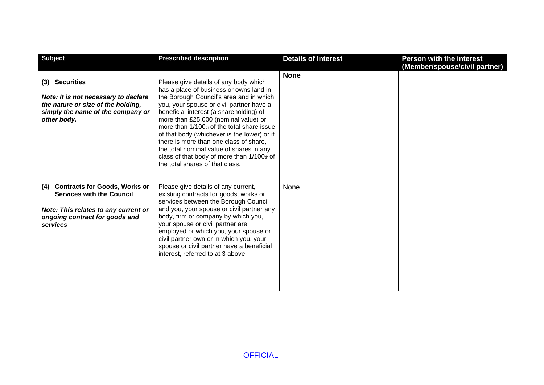| <b>Subject</b>                                                                                                                                                        | <b>Prescribed description</b>                                                                                                                                                                                                                                                                                                                                                                                                                                                                                                     | <b>Details of Interest</b> | <b>Person with the interest</b><br>(Member/spouse/civil partner) |
|-----------------------------------------------------------------------------------------------------------------------------------------------------------------------|-----------------------------------------------------------------------------------------------------------------------------------------------------------------------------------------------------------------------------------------------------------------------------------------------------------------------------------------------------------------------------------------------------------------------------------------------------------------------------------------------------------------------------------|----------------------------|------------------------------------------------------------------|
| (3) Securities<br>Note: It is not necessary to declare<br>the nature or size of the holding,<br>simply the name of the company or<br>other body.                      | Please give details of any body which<br>has a place of business or owns land in<br>the Borough Council's area and in which<br>you, your spouse or civil partner have a<br>beneficial interest (a shareholding) of<br>more than £25,000 (nominal value) or<br>more than 1/100th of the total share issue<br>of that body (whichever is the lower) or if<br>there is more than one class of share,<br>the total nominal value of shares in any<br>class of that body of more than $1/100$ th of<br>the total shares of that class. | <b>None</b>                |                                                                  |
| <b>Contracts for Goods, Works or</b><br>(4)<br><b>Services with the Council</b><br>Note: This relates to any current or<br>ongoing contract for goods and<br>services | Please give details of any current,<br>existing contracts for goods, works or<br>services between the Borough Council<br>and you, your spouse or civil partner any<br>body, firm or company by which you,<br>your spouse or civil partner are<br>employed or which you, your spouse or<br>civil partner own or in which you, your<br>spouse or civil partner have a beneficial<br>interest, referred to at 3 above.                                                                                                               | None                       |                                                                  |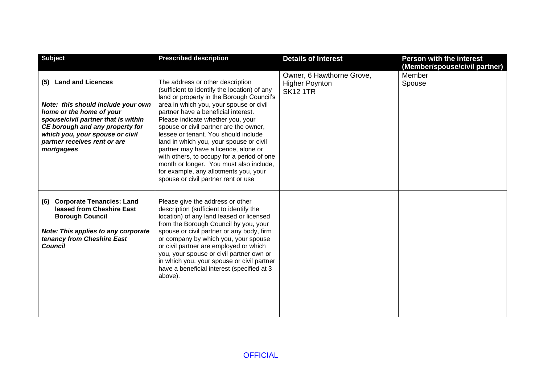| <b>Subject</b>                                                                                                                                                                                                                                     | <b>Prescribed description</b>                                                                                                                                                                                                                                                                                                                                                                                                                                                                                                                                                                      | <b>Details of Interest</b>                                            | <b>Person with the interest</b><br>(Member/spouse/civil partner) |
|----------------------------------------------------------------------------------------------------------------------------------------------------------------------------------------------------------------------------------------------------|----------------------------------------------------------------------------------------------------------------------------------------------------------------------------------------------------------------------------------------------------------------------------------------------------------------------------------------------------------------------------------------------------------------------------------------------------------------------------------------------------------------------------------------------------------------------------------------------------|-----------------------------------------------------------------------|------------------------------------------------------------------|
| (5) Land and Licences<br>Note: this should include your own<br>home or the home of your<br>spouse/civil partner that is within<br>CE borough and any property for<br>which you, your spouse or civil<br>partner receives rent or are<br>mortgagees | The address or other description<br>(sufficient to identify the location) of any<br>land or property in the Borough Council's<br>area in which you, your spouse or civil<br>partner have a beneficial interest.<br>Please indicate whether you, your<br>spouse or civil partner are the owner,<br>lessee or tenant. You should include<br>land in which you, your spouse or civil<br>partner may have a licence, alone or<br>with others, to occupy for a period of one<br>month or longer. You must also include,<br>for example, any allotments you, your<br>spouse or civil partner rent or use | Owner, 6 Hawthorne Grove,<br><b>Higher Poynton</b><br><b>SK12 1TR</b> | Member<br>Spouse                                                 |
| <b>Corporate Tenancies: Land</b><br>(6)<br>leased from Cheshire East<br><b>Borough Council</b><br><b>Note: This applies to any corporate</b><br>tenancy from Cheshire East<br><b>Council</b>                                                       | Please give the address or other<br>description (sufficient to identify the<br>location) of any land leased or licensed<br>from the Borough Council by you, your<br>spouse or civil partner or any body, firm<br>or company by which you, your spouse<br>or civil partner are employed or which<br>you, your spouse or civil partner own or<br>in which you, your spouse or civil partner<br>have a beneficial interest (specified at 3<br>above).                                                                                                                                                 |                                                                       |                                                                  |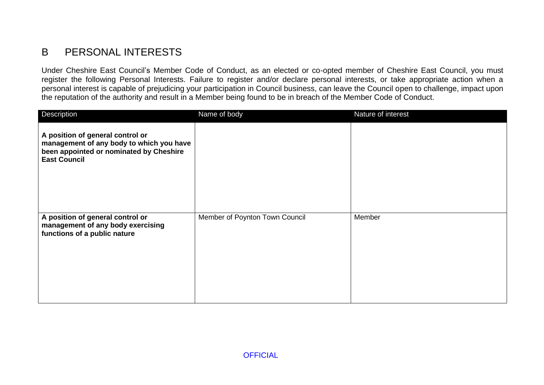## B PERSONAL INTERESTS

Under Cheshire East Council's Member Code of Conduct, as an elected or co-opted member of Cheshire East Council, you must register the following Personal Interests. Failure to register and/or declare personal interests, or take appropriate action when a personal interest is capable of prejudicing your participation in Council business, can leave the Council open to challenge, impact upon the reputation of the authority and result in a Member being found to be in breach of the Member Code of Conduct.

| Description                                                                                                                                    | Name of body                   | Nature of interest |
|------------------------------------------------------------------------------------------------------------------------------------------------|--------------------------------|--------------------|
| A position of general control or<br>management of any body to which you have<br>been appointed or nominated by Cheshire<br><b>East Council</b> |                                |                    |
| A position of general control or<br>management of any body exercising<br>functions of a public nature                                          | Member of Poynton Town Council | Member             |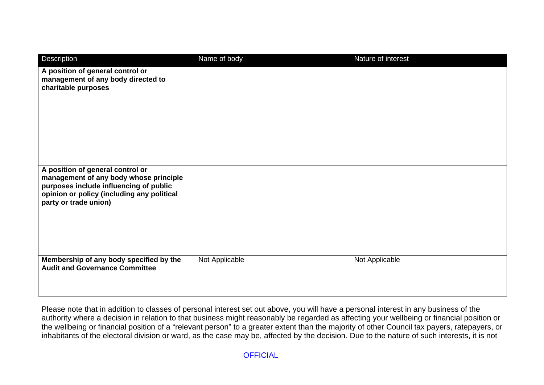| Description                                                                                                                                                                                 | Name of body   | Nature of interest |
|---------------------------------------------------------------------------------------------------------------------------------------------------------------------------------------------|----------------|--------------------|
| A position of general control or<br>management of any body directed to<br>charitable purposes                                                                                               |                |                    |
| A position of general control or<br>management of any body whose principle<br>purposes include influencing of public<br>opinion or policy (including any political<br>party or trade union) |                |                    |
| Membership of any body specified by the<br><b>Audit and Governance Committee</b>                                                                                                            | Not Applicable | Not Applicable     |

Please note that in addition to classes of personal interest set out above, you will have a personal interest in any business of the authority where a decision in relation to that business might reasonably be regarded as affecting your wellbeing or financial position or the wellbeing or financial position of a "relevant person" to a greater extent than the majority of other Council tax payers, ratepayers, or inhabitants of the electoral division or ward, as the case may be, affected by the decision. Due to the nature of such interests, it is not